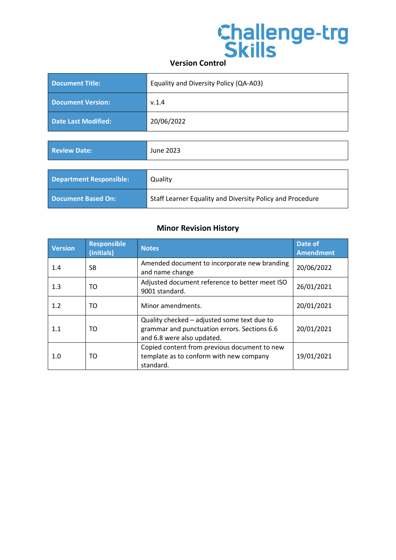# **Challenge-trg<br>Skills**

| Document Title:            | Equality and Diversity Policy (QA-A03) |
|----------------------------|----------------------------------------|
| <b>Document Version:</b>   | V.1.4                                  |
| <b>Date Last Modified:</b> | 20/06/2022                             |

| <b>Review Date:</b>            | June 2023                                                 |
|--------------------------------|-----------------------------------------------------------|
|                                |                                                           |
| <b>Department Responsible:</b> | Quality                                                   |
| Document Based On:             | Staff Learner Equality and Diversity Policy and Procedure |

### **Minor Revision History**

| <b>Version</b> | <b>Responsible</b><br>(initials) | <b>Notes</b>                                                                                                              | Date of<br><b>Amendment</b> |
|----------------|----------------------------------|---------------------------------------------------------------------------------------------------------------------------|-----------------------------|
| 1.4            | <b>SB</b>                        | Amended document to incorporate new branding<br>and name change                                                           | 20/06/2022                  |
| 1.3            | TO                               | Adjusted document reference to better meet ISO<br>9001 standard.                                                          | 26/01/2021                  |
| 1.2            | TO                               | Minor amendments.                                                                                                         | 20/01/2021                  |
| 1.1            | TO                               | Quality checked – adjusted some text due to<br>grammar and punctuation errors. Sections 6.6<br>and 6.8 were also updated. | 20/01/2021                  |
| 1.0            | TO                               | Copied content from previous document to new<br>template as to conform with new company<br>standard.                      | 19/01/2021                  |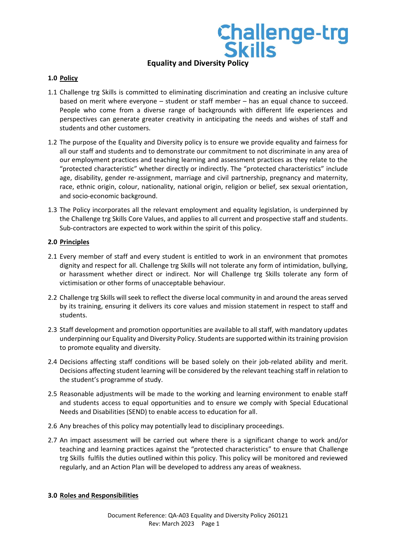### **Equality and Diversity Policy**

**Challenge-trg<br>Skills** 

### **1.0 Policy**

- 1.1 Challenge trg Skills is committed to eliminating discrimination and creating an inclusive culture based on merit where everyone – student or staff member – has an equal chance to succeed. People who come from a diverse range of backgrounds with different life experiences and perspectives can generate greater creativity in anticipating the needs and wishes of staff and students and other customers.
- 1.2 The purpose of the Equality and Diversity policy is to ensure we provide equality and fairness for all our staff and students and to demonstrate our commitment to not discriminate in any area of our employment practices and teaching learning and assessment practices as they relate to the "protected characteristic" whether directly or indirectly. The "protected characteristics" include age, disability, gender re-assignment, marriage and civil partnership, pregnancy and maternity, race, ethnic origin, colour, nationality, national origin, religion or belief, sex sexual orientation, and socio-economic background.
- 1.3 The Policy incorporates all the relevant employment and equality legislation, is underpinned by the Challenge trg Skills Core Values, and applies to all current and prospective staff and students. Sub-contractors are expected to work within the spirit of this policy.

### **2.0 Principles**

- 2.1 Every member of staff and every student is entitled to work in an environment that promotes dignity and respect for all. Challenge trg Skills will not tolerate any form of intimidation, bullying, or harassment whether direct or indirect. Nor will Challenge trg Skills tolerate any form of victimisation or other forms of unacceptable behaviour.
- 2.2 Challenge trg Skills will seek to reflect the diverse local community in and around the areas served by its training, ensuring it delivers its core values and mission statement in respect to staff and students.
- 2.3 Staff development and promotion opportunities are available to all staff, with mandatory updates underpinning our Equality and Diversity Policy. Students are supported within its training provision to promote equality and diversity.
- 2.4 Decisions affecting staff conditions will be based solely on their job-related ability and merit. Decisions affecting student learning will be considered by the relevant teaching staff in relation to the student's programme of study.
- 2.5 Reasonable adjustments will be made to the working and learning environment to enable staff and students access to equal opportunities and to ensure we comply with Special Educational Needs and Disabilities (SEND) to enable access to education for all.
- 2.6 Any breaches of this policy may potentially lead to disciplinary proceedings.
- 2.7 An impact assessment will be carried out where there is a significant change to work and/or teaching and learning practices against the "protected characteristics" to ensure that Challenge trg Skills fulfils the duties outlined within this policy. This policy will be monitored and reviewed regularly, and an Action Plan will be developed to address any areas of weakness.

#### **3.0 Roles and Responsibilities**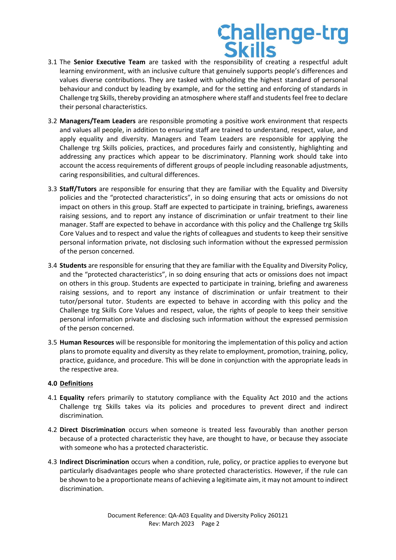## **Challenge-trg<br>Skills**

- 3.1 The **Senior Executive Team** are tasked with the responsibility of creating a respectful adult learning environment, with an inclusive culture that genuinely supports people's differences and values diverse contributions. They are tasked with upholding the highest standard of personal behaviour and conduct by leading by example, and for the setting and enforcing of standards in Challenge trg Skills, thereby providing an atmosphere where staff and students feel free to declare their personal characteristics.
- 3.2 **Managers/Team Leaders** are responsible promoting a positive work environment that respects and values all people, in addition to ensuring staff are trained to understand, respect, value, and apply equality and diversity. Managers and Team Leaders are responsible for applying the Challenge trg Skills policies, practices, and procedures fairly and consistently, highlighting and addressing any practices which appear to be discriminatory. Planning work should take into account the access requirements of different groups of people including reasonable adjustments, caring responsibilities, and cultural differences.
- 3.3 **Staff/Tutors** are responsible for ensuring that they are familiar with the Equality and Diversity policies and the "protected characteristics", in so doing ensuring that acts or omissions do not impact on others in this group. Staff are expected to participate in training, briefings, awareness raising sessions, and to report any instance of discrimination or unfair treatment to their line manager. Staff are expected to behave in accordance with this policy and the Challenge trg Skills Core Values and to respect and value the rights of colleagues and students to keep their sensitive personal information private, not disclosing such information without the expressed permission of the person concerned.
- 3.4 **Students** are responsible for ensuring that they are familiar with the Equality and Diversity Policy, and the "protected characteristics", in so doing ensuring that acts or omissions does not impact on others in this group. Students are expected to participate in training, briefing and awareness raising sessions, and to report any instance of discrimination or unfair treatment to their tutor/personal tutor. Students are expected to behave in according with this policy and the Challenge trg Skills Core Values and respect, value, the rights of people to keep their sensitive personal information private and disclosing such information without the expressed permission of the person concerned.
- 3.5 **Human Resources** will be responsible for monitoring the implementation of this policy and action plans to promote equality and diversity as they relate to employment, promotion, training, policy, practice, guidance, and procedure. This will be done in conjunction with the appropriate leads in the respective area.

### **4.0 Definitions**

- 4.1 **Equality** refers primarily to statutory compliance with the Equality Act 2010 and the actions Challenge trg Skills takes via its policies and procedures to prevent direct and indirect discrimination*.*
- 4.2 **Direct Discrimination** occurs when someone is treated less favourably than another person because of a protected characteristic they have, are thought to have, or because they associate with someone who has a protected characteristic.
- 4.3 **Indirect Discrimination** occurs when a condition, rule, policy, or practice applies to everyone but particularly disadvantages people who share protected characteristics. However, if the rule can be shown to be a proportionate means of achieving a legitimate aim, it may not amount to indirect discrimination.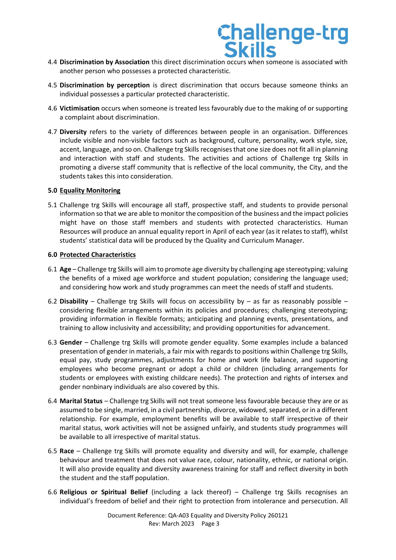### **Challenge-trg**

- 4.4 **Discrimination by Association** this direct discrimination occurs when someone is associated with another person who possesses a protected characteristic.
- 4.5 **Discrimination by perception** is direct discrimination that occurs because someone thinks an individual possesses a particular protected characteristic.
- 4.6 **Victimisation** occurs when someone is treated less favourably due to the making of or supporting a complaint about discrimination.
- 4.7 **Diversity** refers to the variety of differences between people in an organisation. Differences include visible and non-visible factors such as background, culture, personality, work style, size, accent, language, and so on. Challenge trg Skills recognises that one size does not fit all in planning and interaction with staff and students. The activities and actions of Challenge trg Skills in promoting a diverse staff community that is reflective of the local community, the City, and the students takes this into consideration.

### **5.0 Equality Monitoring**

5.1 Challenge trg Skills will encourage all staff, prospective staff, and students to provide personal information so that we are able to monitor the composition of the business and the impact policies might have on those staff members and students with protected characteristics. Human Resources will produce an annual equality report in April of each year (as it relates to staff), whilst students' statistical data will be produced by the Quality and Curriculum Manager.

### **6.0 Protected Characteristics**

- 6.1 **Age**  Challenge trg Skills will aim to promote age diversity by challenging age stereotyping; valuing the benefits of a mixed age workforce and student population; considering the language used; and considering how work and study programmes can meet the needs of staff and students.
- 6.2 **Disability**  Challenge trg Skills will focus on accessibility by as far as reasonably possible considering flexible arrangements within its policies and procedures; challenging stereotyping; providing information in flexible formats; anticipating and planning events, presentations, and training to allow inclusivity and accessibility; and providing opportunities for advancement.
- 6.3 **Gender**  Challenge trg Skills will promote gender equality. Some examples include a balanced presentation of gender in materials, a fair mix with regards to positions within Challenge trg Skills, equal pay, study programmes, adjustments for home and work life balance, and supporting employees who become pregnant or adopt a child or children (including arrangements for students or employees with existing childcare needs). The protection and rights of intersex and gender nonbinary individuals are also covered by this.
- 6.4 **Marital Status**  Challenge trg Skills will not treat someone less favourable because they are or as assumed to be single, married, in a civil partnership, divorce, widowed, separated, or in a different relationship. For example, employment benefits will be available to staff irrespective of their marital status, work activities will not be assigned unfairly, and students study programmes will be available to all irrespective of marital status.
- 6.5 **Race**  Challenge trg Skills will promote equality and diversity and will, for example, challenge behaviour and treatment that does not value race, colour, nationality, ethnic, or national origin. It will also provide equality and diversity awareness training for staff and reflect diversity in both the student and the staff population.
- 6.6 **Religious or Spiritual Belief** (including a lack thereof) Challenge trg Skills recognises an individual's freedom of belief and their right to protection from intolerance and persecution. All

Document Reference: QA-A03 Equality and Diversity Policy 260121 Rev: March 2023 Page 3